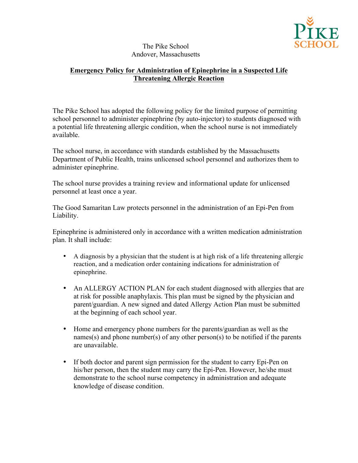

## The Pike School Andover, Massachusetts

## **Emergency Policy for Administration of Epinephrine in a Suspected Life Threatening Allergic Reaction**

The Pike School has adopted the following policy for the limited purpose of permitting school personnel to administer epinephrine (by auto-injector) to students diagnosed with a potential life threatening allergic condition, when the school nurse is not immediately available.

The school nurse, in accordance with standards established by the Massachusetts Department of Public Health, trains unlicensed school personnel and authorizes them to administer epinephrine.

The school nurse provides a training review and informational update for unlicensed personnel at least once a year.

The Good Samaritan Law protects personnel in the administration of an Epi-Pen from Liability.

Epinephrine is administered only in accordance with a written medication administration plan. It shall include:

- A diagnosis by a physician that the student is at high risk of a life threatening allergic reaction, and a medication order containing indications for administration of epinephrine.
- An ALLERGY ACTION PLAN for each student diagnosed with allergies that are at risk for possible anaphylaxis. This plan must be signed by the physician and parent/guardian. A new signed and dated Allergy Action Plan must be submitted at the beginning of each school year.
- Home and emergency phone numbers for the parents/guardian as well as the names(s) and phone number(s) of any other person(s) to be notified if the parents are unavailable.
- If both doctor and parent sign permission for the student to carry Epi-Pen on his/her person, then the student may carry the Epi-Pen. However, he/she must demonstrate to the school nurse competency in administration and adequate knowledge of disease condition.